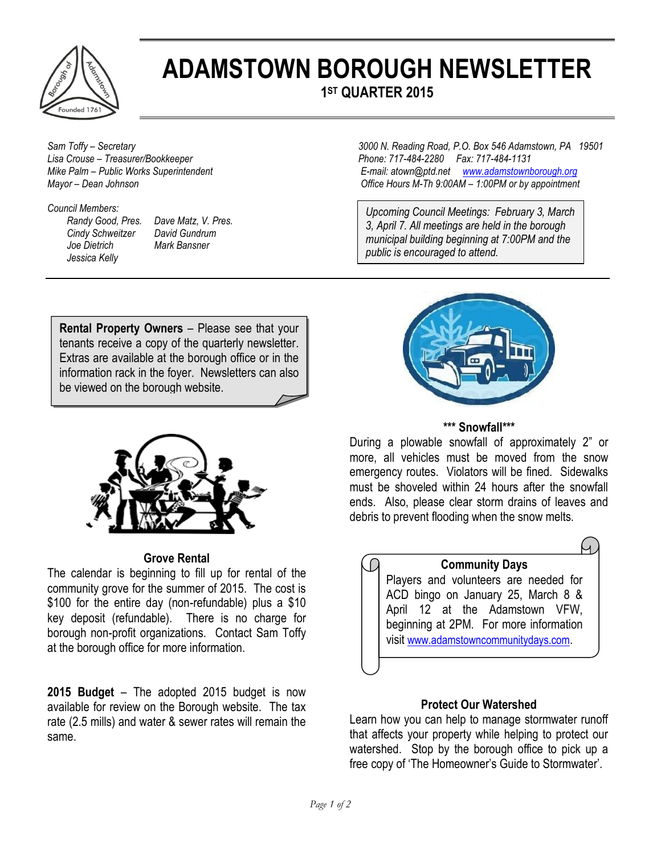

# **ADAMSTOWN BOROUGH NEWSLETTER 1 ST QUARTER 2015**

#### *Council Members:*

*Cindv Schweitzer Joe Dietrich Mark Bansner Jessica Kelly* 

*Randy Good, Pres. Dave Matz, V. Pres.* 

*Sam Toffy – Secretary 3000 N. Reading Road, P.O. Box 546 Adamstown, PA 19501 Lisa Crouse – Treasurer/Bookkeeper Phone: 717-484-2280 Fax: 717-484-1131 Mike Palm – Public Works Superintendent E-mail: atown@ptd.net [www.adamstownborough.org](http://www.adamstownborough.org/) Mayor – Dean Johnson Office Hours M-Th 9:00AM – 1:00PM or by appointment*

> *Upcoming Council Meetings: February 3, March 3, April 7. All meetings are held in the borough municipal building beginning at 7:00PM and the public is encouraged to attend.*

**Rental Property Owners** – Please see that your tenants receive a copy of the quarterly newsletter. Extras are available at the borough office or in the information rack in the foyer. Newsletters can also be viewed on the borough website.



#### **Grove Rental**

The calendar is beginning to fill up for rental of the community grove for the summer of 2015. The cost is \$100 for the entire day (non-refundable) plus a \$10 key deposit (refundable). There is no charge for borough non-profit organizations. Contact Sam Toffy at the borough office for more information.

**2015 Budget** – The adopted 2015 budget is now available for review on the Borough website. The tax rate (2.5 mills) and water & sewer rates will remain the same.



# **\*\*\* Snowfall\*\*\***

During a plowable snowfall of approximately 2" or more, all vehicles must be moved from the snow emergency routes. Violators will be fined. Sidewalks must be shoveled within 24 hours after the snowfall ends. Also, please clear storm drains of leaves and debris to prevent flooding when the snow melts.



# **Protect Our Watershed**

Learn how you can help to manage stormwater runoff that affects your property while helping to protect our watershed. Stop by the borough office to pick up a free copy of 'The Homeowner's Guide to Stormwater'.